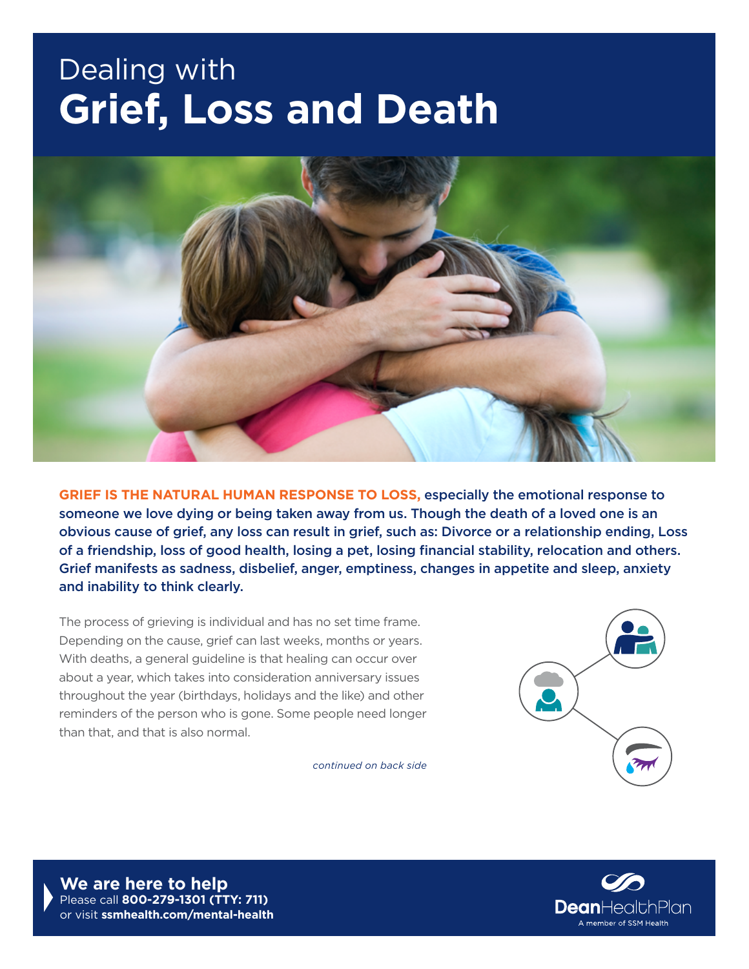## Dealing with **Grief, Loss and Death**



**GRIEF IS THE NATURAL HUMAN RESPONSE TO LOSS,** especially the emotional response to someone we love dying or being taken away from us. Though the death of a loved one is an obvious cause of grief, any loss can result in grief, such as: Divorce or a relationship ending, Loss of a friendship, loss of good health, losing a pet, losing financial stability, relocation and others. Grief manifests as sadness, disbelief, anger, emptiness, changes in appetite and sleep, anxiety and inability to think clearly.

The process of grieving is individual and has no set time frame. Depending on the cause, grief can last weeks, months or years. With deaths, a general guideline is that healing can occur over about a year, which takes into consideration anniversary issues throughout the year (birthdays, holidays and the like) and other reminders of the person who is gone. Some people need longer than that, and that is also normal.

*continued on back side*



**We are here to help** Please call **800-279-1301 (TTY: 711)**  or visit **[ssmhealth.com/mental-health](http://ssmhealth.com/mental-health)**